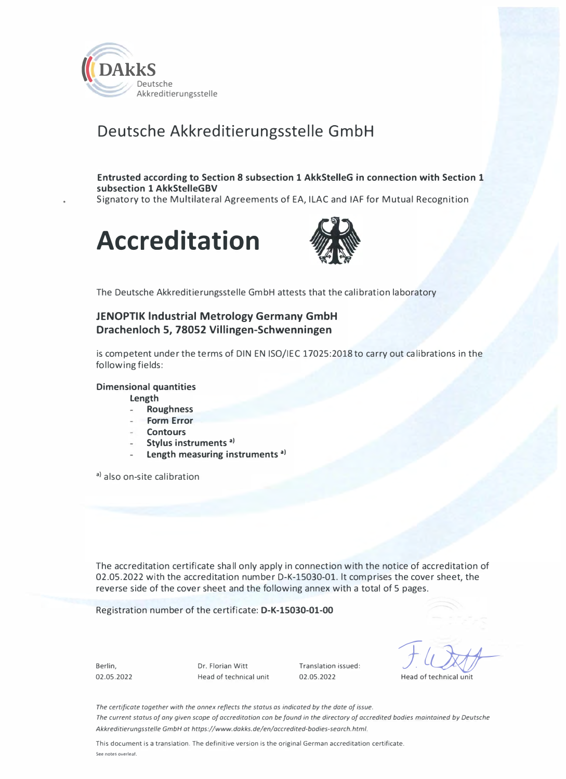

# Deutsche Akkreditierungsstelle GmbH

### Entrusted according to Section 8 subsection 1 AkkStelleG in connection with Section 1 subsection 1 AkkStelleGBV

Signatory to the Multilateral Agreements of EA, ILAC and IAF for Mutual Recognition





The Deutsche Akkreditierungsstelle GmbH attests that the calibration laboratory

## JENOPTIK lndustrial Metrology Germany GmbH Drachenloch 5, 78052 Villingen-Schwenningen

is competent under the terms of DIN EN 150/IEC 17025:2018to carry out calibrations in the following fields:

#### Dimensional quantities

length

- Roughness
- Form Error
- **Contours**
- Stylus instruments<sup>a)</sup>
- Length measuring instruments<sup>a)</sup>

a) also on-site calibration

The accreditation certificate shall only apply in connection with the notice of accreditation of 02.05.2022 with the accreditation number D-K-15030-01. lt comprises the cover sheet, the reverse side of the cover sheet and the following annex with a total of 5 pages.

Registration number of the certificate: D-K-15030-01-00

Berlin, 02.05.2022 Dr. Florian Witt Head of technical unit Translation issued: 02.05.2022

 $F\omega$ 

Head of technical unit

The certificate together with the onnex reflects the status as indicated by the date of issue. The current status af any given scape af accreditatian can be faund in the directary af accredited badies maintained by Deutsche Akkreditierungsstelle GmbH at https://www.dakks.de/en/accredited-badies-search.html.

This document is a translation. The definitive version is the original German accreditation certificate. See notes overleaf.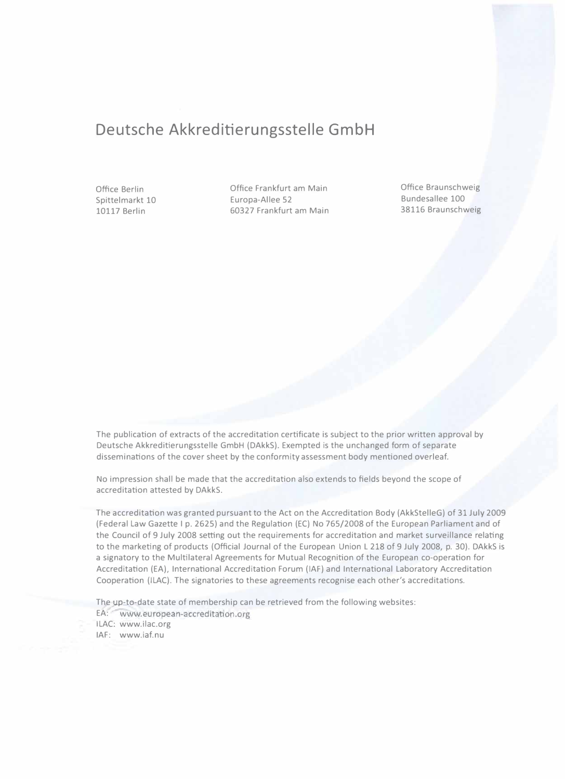# Deutsche Akkreditierungsstelle GmbH

Office Berlin Spittelmarkt 10 10117 Berlin

Office Frankfurt am Main Europa-Allee 52 60327 Frankfurt am Main Office Braunschweig Bundesallee 100 38116 Braunschweig

The publication of extracts of the accreditation certificate is subject to the prior written approval by Deutsche Akkreditierungsstelle GmbH (DAkkS). Exempted is the unchanged form of separate disseminations of the cover sheet by the conformity assessment body mentioned overleaf.

No impression shall be made that the accreditation also extends to fields beyond the scope of accreditation attested by DAkkS.

The accreditation was granted pursuant to the Act on the Accreditation Body (AkkStelleG) of 31 July 2009 (Federal Law Gazette 1 p. 2625) and the Regulation (EC) No 765/2008 of the European Parliament and of the Council of 9 July 2008 setting out the requirements for accreditation and market surveillance relating to the marketing of products (Official Journal of the European Union L 218 of 9 July 2008, p. 30). DAkkS is a signatory to the Multilateral Agreements for Mutual Recognition of the European co-operation for Accreditation (EA), International Accreditation Forum (IAF) and International Laboratory Accreditation Cooperation (ILAC). The signatories to these agreements recognise each other's accreditations.

The up-to-date state of membership can be retrieved from the following websites: EA: www.european-accreditation.org ILAC: www.ilac.org

IAF: www.iaf.nu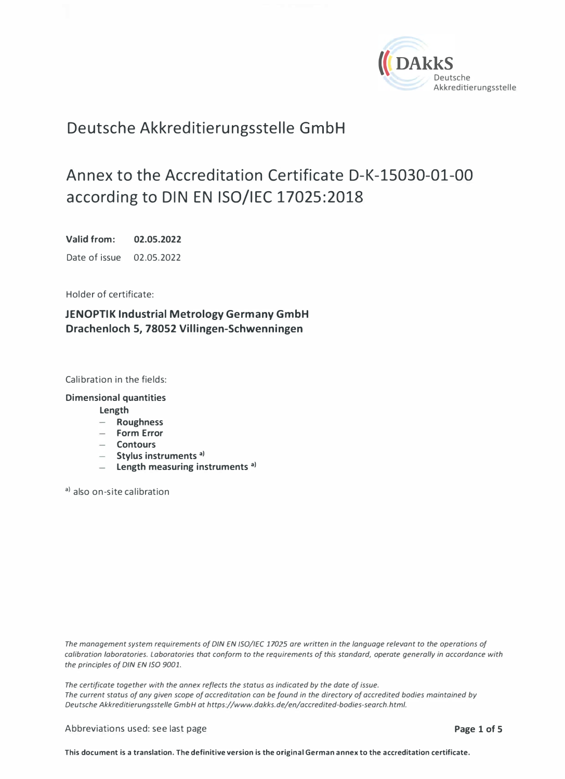

# Deutsche Akkreditierungsstelle GmbH

# Annex to the Accreditation Certificate D-K-15030-01-00 according to DIN EN 150/IEC 17025:2018

Valid from: 02.05.2022 Date of issue 02.05.2022

Holder of certificate:

JENOPTIK lndustrial Metrology Germany GmbH Drachenloch 5, 78052 Villingen-Schwenningen

Calibration in the fields:

Dimensional quantities

Length

- Roughness
- Form Error
- Contours
- $-$  Stylus instruments  $a$ )
- $-$  Length measuring instruments<sup>a)</sup>

a) also on-site calibration

The management system requirements of DIN EN ISO/IEC 17025 are written in the language relevant to the operations of calibration laboratories. Laboratories that conform to the requirements of this standard, operate generally in accordance with the principles of DIN EN ISO 9001.

The certificate together with the annex reflects the status as indicated by the date of issue. The current status of ony given scope of accreditation can be found in the directory of accredited bodies maintained by Deutsche Akkreditierungsstelle GmbH at https://www.dakks.de/en/accredited-bodies-search.html.

Abbreviations used: see last page **Page 1of 5** and 2011 10 and 2012 10: **Page 1of 5** 

This document is a translation. The definitive version is the original German annex to the accreditation certificate.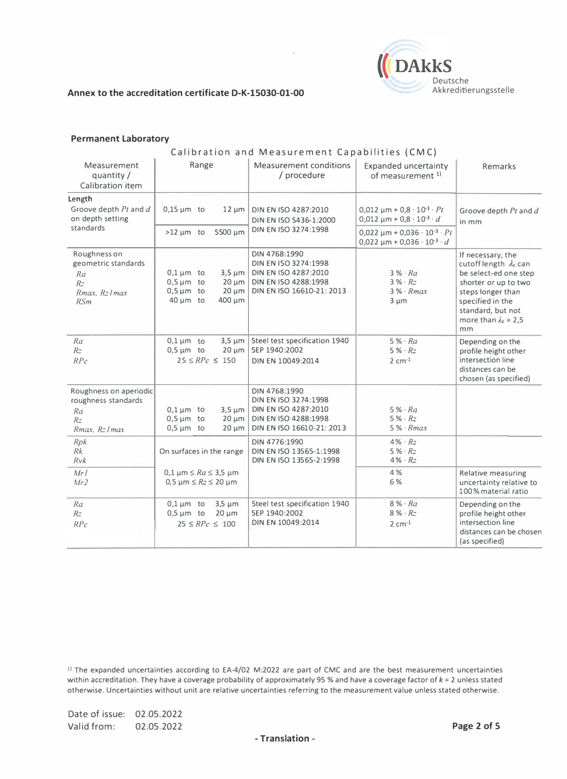

#### Permanent Laboratory

#### Calibration and Measurement Capabilities (CMC)

| Measurement<br>quantity /<br>Calibration item                                             | Range                                                                                                                  | <b>Measurement conditions</b><br>/ procedure                                                                                | <b>Expanded uncertainty</b><br>of measurement <sup>1)</sup>                                 | <b>Remarks</b>                                                                                                                                                                                         |
|-------------------------------------------------------------------------------------------|------------------------------------------------------------------------------------------------------------------------|-----------------------------------------------------------------------------------------------------------------------------|---------------------------------------------------------------------------------------------|--------------------------------------------------------------------------------------------------------------------------------------------------------------------------------------------------------|
| Length<br>Groove depth Pt and d<br>on depth setting<br>standards                          | $0.15 \mu m$ to<br>$12 \mu m$                                                                                          | DIN EN ISO 4287:2010<br>DIN EN ISO 5436-1:2000<br>DIN EN ISO 3274:1998                                                      | $0,012 \mu m + 0,8 \cdot 10^{-3} \cdot Pt$<br>$0,012 \mu m + 0,8 \cdot 10^{-3} \cdot d$     | Groove depth Pt and d<br>in mm                                                                                                                                                                         |
|                                                                                           | $>12 \mu m$ to<br>5500 µm                                                                                              |                                                                                                                             | $0,022 \mu m + 0,036 \cdot 10^{-3} \cdot Pt$<br>$0,022 \mu m + 0,036 \cdot 10^{-3} \cdot d$ |                                                                                                                                                                                                        |
| Roughness on<br>geometric standards<br>Ra<br>$R_{\tilde{-}}$<br>Rmax, Rz Imax<br>RSm      | $0.1 \,\mathrm{\upmu m}$ to<br>$0,5 \mu m$ to<br>$20 \mu m$<br>$0.5 \mu m$ to<br>$20 \mu m$<br>$40 \mu m$ to<br>400 µm | DIN 4768:1990<br>DIN EN ISO 3274:1998<br>3,5 µm   DIN EN ISO 4287:2010<br>DIN EN ISO 4288:1998<br>DIN EN ISO 16610-21: 2013 | $3\% \cdot Ra$<br>$3\% \cdot Rx$<br>$3\% \cdot Rmax$<br>$3 \mu m$                           | If necessary, the<br>cutoff length $\lambda_c$ can<br>be select-ed one step<br>shorter or up to two<br>steps longer than<br>specified in the<br>standard, but not<br>more than $\lambda_c = 2.5$<br>mm |
| Ra<br>R <sub>z</sub><br>RPc                                                               | $0.1 \,\mathrm{\upmu m}$ to<br>$3.5 \mu m$<br>$0.5 \mu m$ to<br>$20 \mu m$<br>$25 \leq RPc \leq 150$                   | Steel test specification 1940<br>SEP 1940:2002<br>DIN EN 10049:2014                                                         | $5\% \cdot Ra$<br>$5\% \cdot R_{\pm}$<br>$2 cm-1$                                           | Depending on the<br>profile height other<br>intersection line<br>distances can be<br>chosen (as specified)                                                                                             |
| Roughness on aperiodic<br>roughness standards<br>Ra<br>$R_{\mathbb{Z}}$<br>Rmax, Rz I max | $0.1 \,\mathrm{\upmu m}$ to<br>$0.5 \text{ µm}$ to<br>$20 \mu m$<br>$0.5 \mu m$ to<br>$20 \mu m$                       | DIN 4768:1990<br>DIN EN ISO 3274:1998<br>3,5 µm   DIN EN ISO 4287:2010<br>DIN EN ISO 4288:1998<br>DIN EN ISO 16610-21: 2013 | $5\% \cdot Ra$<br>$5\% \cdot R_{\pm}$<br>$5\% \cdot Rmax$                                   |                                                                                                                                                                                                        |
| Rpk<br>Rk<br>Rvk                                                                          | On surfaces in the range                                                                                               | DIN 4776:1990<br>DIN EN ISO 13565-1:1998<br>DIN EN ISO 13565-2:1998                                                         | $4\% \cdot R_{\overline{z}}$<br>$5\% \cdot Rz$<br>$4\% \cdot R_{7}$                         |                                                                                                                                                                                                        |
| Mrl<br>Mr2                                                                                | 0,1 μm $\leq Ra \leq 3.5$ μm<br>$0,5 \mu m \leq Rz \leq 20 \mu m$                                                      |                                                                                                                             | 4 %<br>6 %                                                                                  | <b>Relative measuring</b><br>uncertainty relative to<br>100% material ratio                                                                                                                            |
| Ra<br>$R$ <sup>-</sup><br>RPc                                                             | $0.1 \,\mathrm{\upmu m}$ to<br>$3,5 \mu m$<br>$0,5 \mu m$ to<br>$20 \mu m$<br>$25 \leq RPc \leq 100$                   | Steel test specification 1940<br>SEP 1940:2002<br>DIN EN 10049:2014                                                         | $8\% \cdot Ra$<br>$8\% \cdot R$<br>$2 cm-1$                                                 | Depending on the<br>profile height other<br>intersection line<br>distances can be chosen<br>(as specified)                                                                                             |

 $1$ ) The expanded uncertainties according to EA-4/02 M:2022 are part of CMC and are the best measurement uncertainties within accreditation. They have a coverage probability of approximately 95 % and have a coverage factor of  $k = 2$  unless stated otherwise. Uncertainties without unit are relative uncertainties referring to the measurement value unless stated otherwise.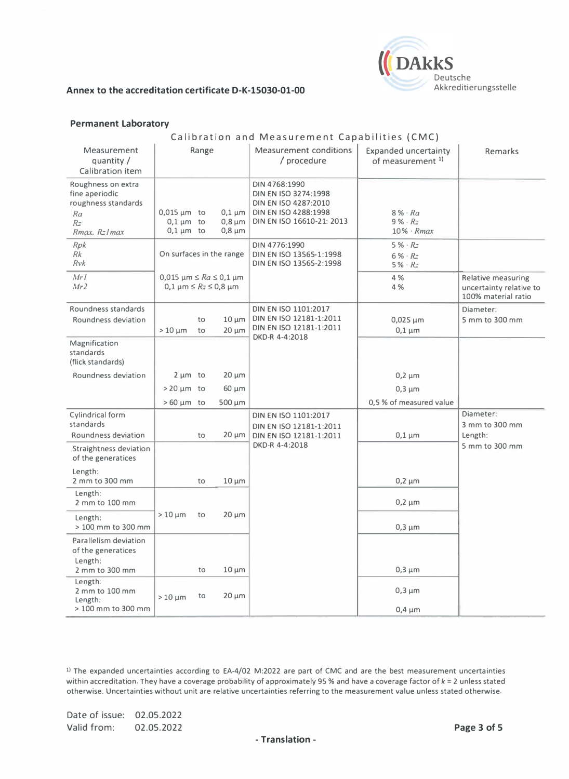

#### Permanent Laboratory

### Calibration and Measurement Capabilities (CMC)

| <b>Relative measuring</b><br>uncertainty relative to<br>100% material ratio |
|-----------------------------------------------------------------------------|
| Diameter:<br>5 mm to 300 mm                                                 |
|                                                                             |
|                                                                             |
|                                                                             |
|                                                                             |
| Diameter:<br>3 mm to 300 mm                                                 |
| 5 mm to 300 mm                                                              |
|                                                                             |
|                                                                             |
|                                                                             |
|                                                                             |
|                                                                             |
|                                                                             |
|                                                                             |

11 The expanded uncertainties according to EA-4/02 M:2022 are part of CMC and are the best measurement uncertainties within accreditation. They have a coverage probability of approximately 95 % and have a coverage factor of  $k = 2$  unless stated otherwise. Uncertainties without unit are relative uncertainties referring to the measurement value unless stated otherwise.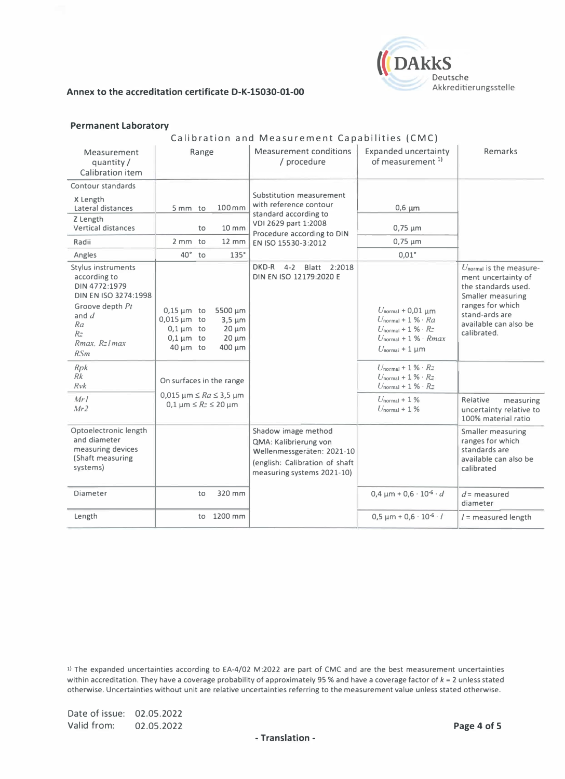

#### Permanent Laboratory

#### Calibration and Measurement Capabilities (CMC)

| Measurement<br>quantity/<br>Calibration item                                                                                                                     |                                                                                                                    | Range          |                                                                                                         | <b>Measurement conditions</b><br>/ procedure                                                                                                             | <b>Expanded uncertainty</b><br>of measurement <sup>1)</sup>                                                                                                                 | Remarks                                                                                                                                                                    |
|------------------------------------------------------------------------------------------------------------------------------------------------------------------|--------------------------------------------------------------------------------------------------------------------|----------------|---------------------------------------------------------------------------------------------------------|----------------------------------------------------------------------------------------------------------------------------------------------------------|-----------------------------------------------------------------------------------------------------------------------------------------------------------------------------|----------------------------------------------------------------------------------------------------------------------------------------------------------------------------|
| Contour standards<br>X Length<br>Lateral distances<br>Z Length<br>Vertical distances<br>Radii<br>Angles                                                          | 5 mm to<br>$2 \, \text{mm}$<br>$40^{\circ}$                                                                        | to<br>to<br>to | 100mm<br>$10 \, \text{mm}$<br>$12 \, \text{mm}$<br>135°                                                 | Substitution measurement<br>with reference contour<br>standard according to<br>VDI 2629 part 1:2008<br>Procedure according to DIN<br>EN ISO 15530-3:2012 | $0,6 \mu m$<br>$0,75 \mu m$<br>$0,75 \mu m$<br>$0.01^\circ$                                                                                                                 |                                                                                                                                                                            |
| Stylus instruments<br>according to<br>DIN 4772:1979<br>DIN EN ISO 3274:1998<br>Groove depth Pt<br>and $d$<br>Ra<br>$R_{\tilde{z}}$<br>$Rmax$ . $Rz$ l max<br>RSm | $0.15 \mu m$ to<br>$0.015 \,\mathrm{\upmu m}$ to<br>$0.1 \,\mathrm{\upmu m}$ to<br>$0.1 \mu m$ to<br>$40 \mu m$ to |                | 5500 µm<br>$3,5 \mu m$<br>$20 \mu m$<br>$20 \mu m$<br>400 µm                                            | Blatt 2:2018<br>DKD-R<br>$4 - 2$<br>DIN EN ISO 12179:2020 E                                                                                              | $U_{normal}$ + 0,01 $\mu$ m<br>$U_{\text{normal}} + 1 \% \cdot Ra$<br>$U_{\text{normal}} + 1 \% \cdot R$<br>$U_{\text{normal}} + 1 \% \cdot Rmax$<br>$U_{normal} + 1 \mu m$ | $Unormal$ is the measure-<br>ment uncertainty of<br>the standards used.<br>Smaller measuring<br>ranges for which<br>stand-ards are<br>available can also be<br>calibrated. |
| Rpk<br>Rk<br>$R\nu k$<br>Mrl<br>Mr2                                                                                                                              |                                                                                                                    |                | On surfaces in the range<br>0,015 $\mu$ m $\leq Ra \leq 3.5 \mu$ m<br>$0.1 \mu m \leq Rz \leq 20 \mu m$ |                                                                                                                                                          | $U_{\text{normal}} + 1\% \cdot Rx$<br>$U_{\text{normal}} + 1\% \cdot R_{\overline{z}}$<br>$U_{\text{normal}} + 1\% \cdot R$<br>$U_{normal} + 1\%$<br>$U_{normal} + 1\%$     | Relative<br>measuring<br>uncertainty relative to<br>100% material ratio                                                                                                    |
| Optoelectronic length<br>and diameter<br>measuring devices<br>(Shaft measuring<br>systems)                                                                       |                                                                                                                    |                |                                                                                                         | Shadow image method<br>QMA: Kalibrierung von<br>Wellenmessgeräten: 2021-10<br>(english: Calibration of shaft<br>measuring systems 2021-10)               |                                                                                                                                                                             | Smaller measuring<br>ranges for which<br>standards are<br>available can also be<br>calibrated                                                                              |
| Diameter                                                                                                                                                         |                                                                                                                    | to             | 320 mm                                                                                                  |                                                                                                                                                          | $0.4 \text{ µm} + 0.6 \cdot 10^{6} \cdot d$                                                                                                                                 | $d$ = measured<br>diameter                                                                                                                                                 |
| Length                                                                                                                                                           |                                                                                                                    |                | to 1200 mm                                                                                              |                                                                                                                                                          | $0.5 \mu m + 0.6 \cdot 10^{-6} \cdot l$                                                                                                                                     | $l =$ measured length                                                                                                                                                      |

1) The expanded uncertainties according to EA-4/02 M:2022 are part of CMC and are the best measurement uncertainties within accreditation. They have a coverage probability of approximately 95 % and have a coverage factor of  $k = 2$  unless stated otherwise. Uncertainties without unit are relative uncertainties referring to the measurement value unless stated otherwise.